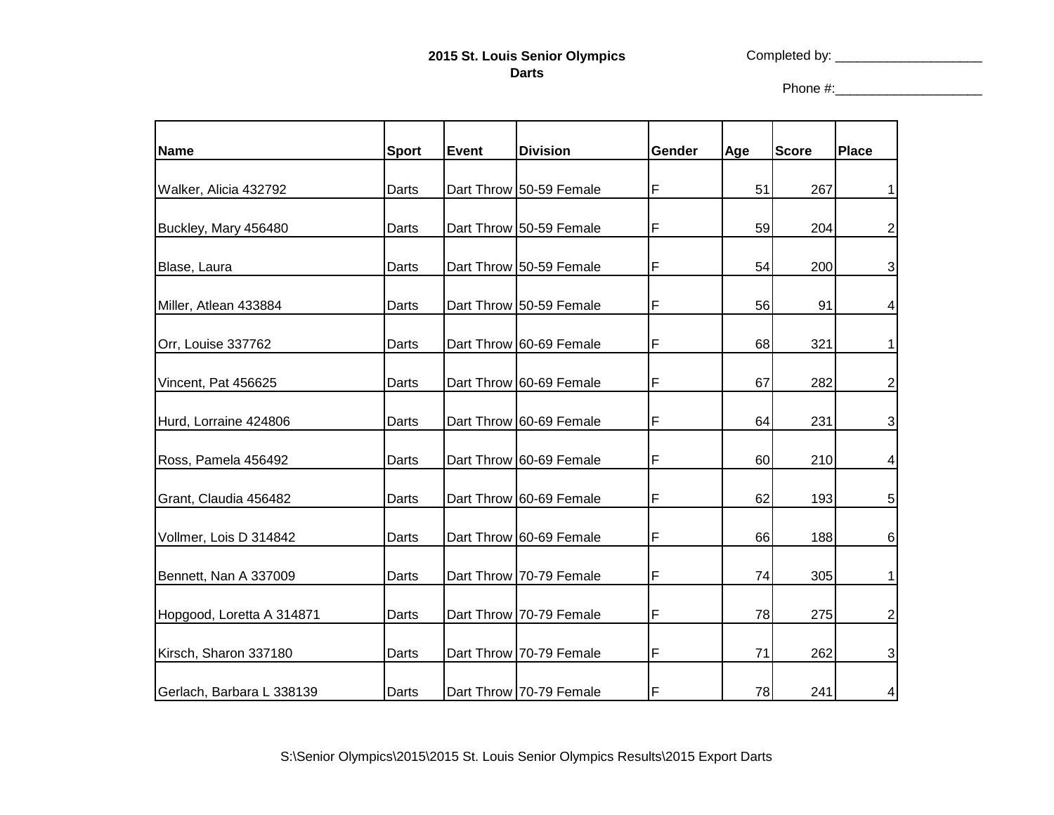## **2015 St. Louis Senior Olympics Darts**

Completed by: \_\_\_\_\_\_\_\_\_\_\_\_\_\_\_\_\_\_\_\_

Phone #:\_\_\_\_\_\_\_\_\_\_\_\_\_\_\_\_\_\_\_\_

| <b>Name</b>               | <b>Sport</b> | <b>Event</b> | <b>Division</b>         | Gender | Age | <b>Score</b> | Place           |
|---------------------------|--------------|--------------|-------------------------|--------|-----|--------------|-----------------|
| Walker, Alicia 432792     | Darts        |              | Dart Throw 50-59 Female | F      | 51  | 267          | 1               |
| Buckley, Mary 456480      | Darts        |              | Dart Throw 50-59 Female | F      | 59  | 204          | $\mathbf{2}$    |
| Blase, Laura              | Darts        |              | Dart Throw 50-59 Female | F      | 54  | 200          | 3               |
| Miller, Atlean 433884     | Darts        |              | Dart Throw 50-59 Female | F      | 56  | 91           | 4               |
| Orr, Louise 337762        | Darts        |              | Dart Throw 60-69 Female | F      | 68  | 321          | 1               |
| Vincent, Pat 456625       | Darts        |              | Dart Throw 60-69 Female | F      | 67  | 282          | $\mathbf{2}$    |
| Hurd, Lorraine 424806     | Darts        |              | Dart Throw 60-69 Female | F      | 64  | 231          | $\overline{3}$  |
| Ross, Pamela 456492       | Darts        |              | Dart Throw 60-69 Female | F      | 60  | 210          | $\vert 4 \vert$ |
| Grant, Claudia 456482     | Darts        |              | Dart Throw 60-69 Female | F      | 62  | 193          | 5 <sup>1</sup>  |
| Vollmer, Lois D 314842    | Darts        |              | Dart Throw 60-69 Female | F      | 66  | 188          | $6 \,$          |
| Bennett, Nan A 337009     | Darts        |              | Dart Throw 70-79 Female | F      | 74  | 305          | 1               |
| Hopgood, Loretta A 314871 | Darts        |              | Dart Throw 70-79 Female | F      | 78  | 275          | $\mathbf{2}$    |
| Kirsch, Sharon 337180     | Darts        |              | Dart Throw 70-79 Female | F      | 71  | 262          | $\mathbf{3}$    |
| Gerlach, Barbara L 338139 | Darts        |              | Dart Throw 70-79 Female | F      | 78  | 241          | 4               |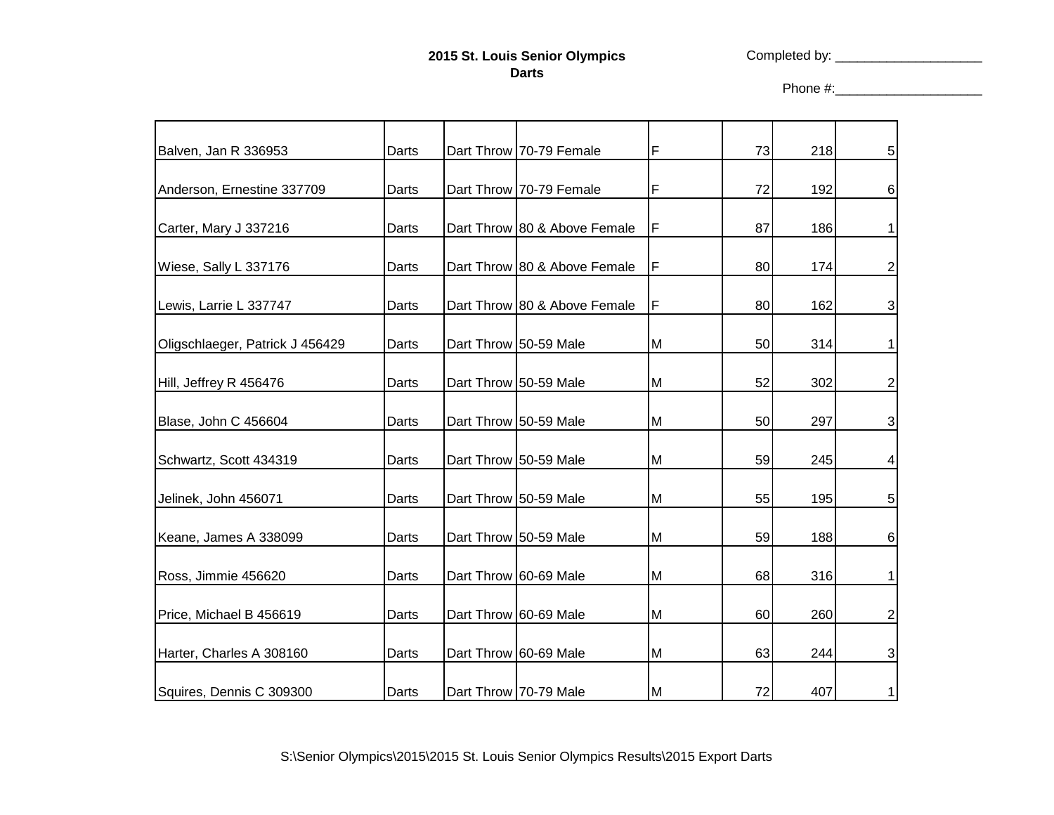## **2015 St. Louis Senior Olympics Darts**

Completed by: \_\_\_\_\_\_\_\_\_\_\_\_\_\_\_\_\_\_\_\_

Phone #:\_\_\_\_\_\_\_\_\_\_\_\_\_\_\_\_\_\_\_\_

| Balven, Jan R 336953            | Darts | Dart Throw 70-79 Female      | F  | 73 | 218 | 5 <sub>5</sub>   |
|---------------------------------|-------|------------------------------|----|----|-----|------------------|
| Anderson, Ernestine 337709      | Darts | Dart Throw 70-79 Female      | F  | 72 | 192 | $6 \overline{6}$ |
| Carter, Mary J 337216           | Darts | Dart Throw 80 & Above Female | F  | 87 | 186 | 1                |
| Wiese, Sally L 337176           | Darts | Dart Throw 80 & Above Female | F  | 80 | 174 | $\mathbf{2}$     |
| Lewis, Larrie L 337747          | Darts | Dart Throw 80 & Above Female | F  | 80 | 162 | $\mathbf{3}$     |
| Oligschlaeger, Patrick J 456429 | Darts | Dart Throw 50-59 Male        | M  | 50 | 314 | 1                |
| Hill, Jeffrey R 456476          | Darts | Dart Throw 50-59 Male        | M  | 52 | 302 | $\mathbf{2}$     |
| Blase, John C 456604            | Darts | Dart Throw 50-59 Male        | M  | 50 | 297 | $\mathbf{3}$     |
| Schwartz, Scott 434319          | Darts | Dart Throw 50-59 Male        | M  | 59 | 245 | $\vert 4 \vert$  |
| Jelinek, John 456071            | Darts | Dart Throw 50-59 Male        | M  | 55 | 195 | 5 <sup>1</sup>   |
| Keane, James A 338099           | Darts | Dart Throw 50-59 Male        | M  | 59 | 188 | 6                |
| Ross, Jimmie 456620             | Darts | Dart Throw 60-69 Male        | M  | 68 | 316 |                  |
| Price, Michael B 456619         | Darts | Dart Throw 60-69 Male        | M  | 60 | 260 | $\mathbf{2}$     |
| Harter, Charles A 308160        | Darts | Dart Throw 60-69 Male        | M  | 63 | 244 | $\mathbf{3}$     |
| Squires, Dennis C 309300        | Darts | Dart Throw 70-79 Male        | IМ | 72 | 407 | 1                |